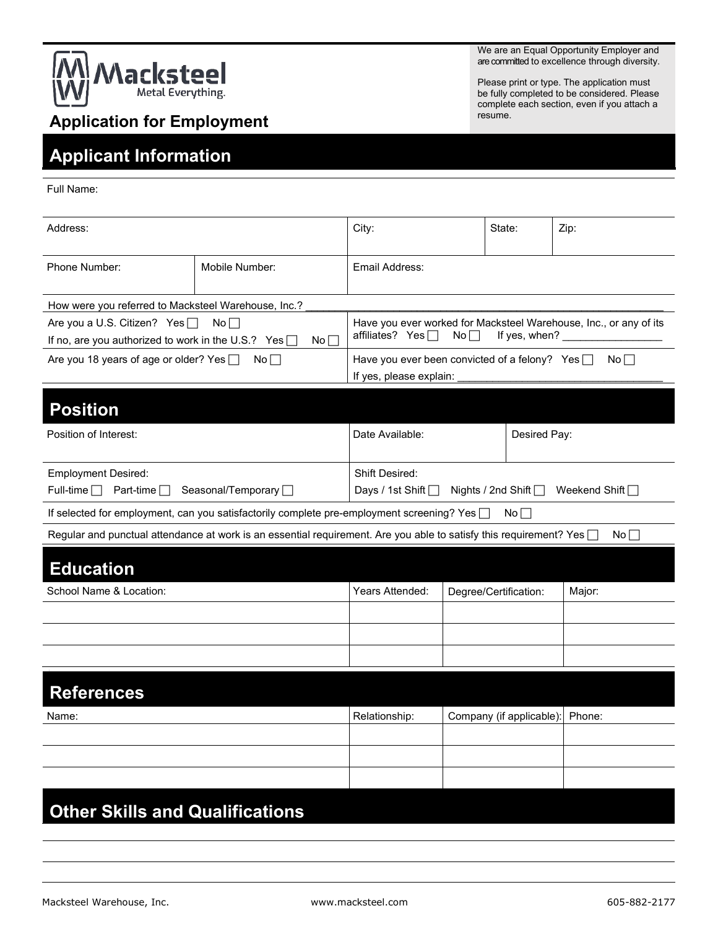

We are an Equal Opportunity Employer and are committed to excellence through diversity.

Please print or type. The application must be fully completed to be considered. Please complete each section, even if you attach a resume.

## **Application for Employment**

## **Applicant Information**

Full Name:

| Address:                                                                                               |                                                                                                                           | City:                                                                                                                           |                         | State:    | Zip:   |
|--------------------------------------------------------------------------------------------------------|---------------------------------------------------------------------------------------------------------------------------|---------------------------------------------------------------------------------------------------------------------------------|-------------------------|-----------|--------|
| Phone Number:                                                                                          | Mobile Number:                                                                                                            | Email Address:                                                                                                                  |                         |           |        |
| How were you referred to Macksteel Warehouse, Inc.?                                                    |                                                                                                                           |                                                                                                                                 |                         |           |        |
| Are you a U.S. Citizen? Yes □<br>No<br>If no, are you authorized to work in the U.S.? Yes $\Box$<br>No |                                                                                                                           | Have you ever worked for Macksteel Warehouse, Inc., or any of its<br>affiliates? Yes $\Box$<br>No <sub>1</sub><br>If yes, when? |                         |           |        |
| Are you 18 years of age or older? Yes<br>$No \Box$                                                     |                                                                                                                           | Have you ever been convicted of a felony? Yes $\Box$<br>$No \BoxIf yes, please explain:$                                        |                         |           |        |
| <b>Position</b>                                                                                        |                                                                                                                           |                                                                                                                                 |                         |           |        |
| Position of Interest:                                                                                  |                                                                                                                           | Date Available:<br>Desired Pay:                                                                                                 |                         |           |        |
| <b>Employment Desired:</b>                                                                             |                                                                                                                           | <b>Shift Desired:</b>                                                                                                           |                         |           |        |
| Seasonal/Temporary □<br>Full-time $\Box$<br>Part-time $\Box$                                           |                                                                                                                           | Nights / 2nd Shift   Weekend Shift  <br>Days / 1st Shift $\Box$                                                                 |                         |           |        |
|                                                                                                        | If selected for employment, can you satisfactorily complete pre-employment screening? Yes                                 |                                                                                                                                 |                         | $No \Box$ |        |
|                                                                                                        | Regular and punctual attendance at work is an essential requirement. Are you able to satisfy this requirement? Yes $\Box$ |                                                                                                                                 |                         |           | No     |
| <b>Education</b>                                                                                       |                                                                                                                           |                                                                                                                                 |                         |           |        |
| School Name & Location:                                                                                |                                                                                                                           | Years Attended:                                                                                                                 | Degree/Certification:   |           | Major: |
|                                                                                                        |                                                                                                                           |                                                                                                                                 |                         |           |        |
|                                                                                                        |                                                                                                                           |                                                                                                                                 |                         |           |        |
|                                                                                                        |                                                                                                                           |                                                                                                                                 |                         |           |        |
| <b>References</b>                                                                                      |                                                                                                                           |                                                                                                                                 |                         |           |        |
| Name:                                                                                                  |                                                                                                                           | Relationship:                                                                                                                   | Company (if applicable) |           | Phone: |
|                                                                                                        |                                                                                                                           |                                                                                                                                 |                         |           |        |
|                                                                                                        |                                                                                                                           |                                                                                                                                 |                         |           |        |
|                                                                                                        |                                                                                                                           |                                                                                                                                 |                         |           |        |
| <b>Other Skills and Qualifications</b>                                                                 |                                                                                                                           |                                                                                                                                 |                         |           |        |